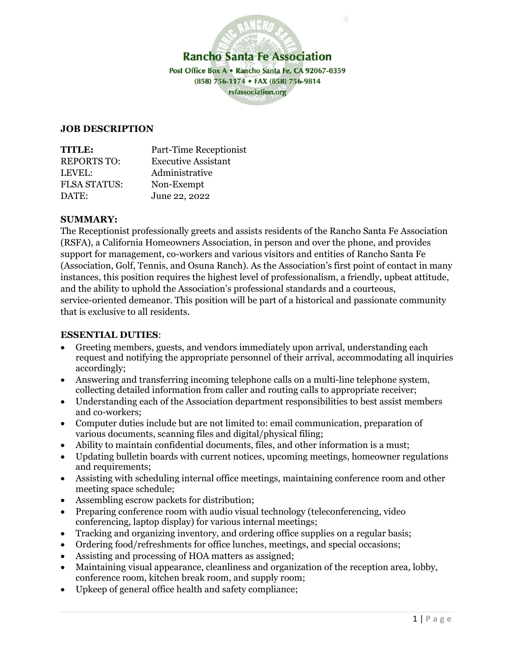

### **JOB DESCRIPTION**

| <b>TITLE:</b>       | Part-Time Receptionist     |
|---------------------|----------------------------|
| <b>REPORTS TO:</b>  | <b>Executive Assistant</b> |
| LEVEL:              | Administrative             |
| <b>FLSA STATUS:</b> | Non-Exempt                 |
| DATE:               | June 22, 2022              |

### **SUMMARY:**

The Receptionist professionally greets and assists residents of the Rancho Santa Fe Association (RSFA), a California Homeowners Association, in person and over the phone, and provides support for management, co-workers and various visitors and entities of Rancho Santa Fe (Association, Golf, Tennis, and Osuna Ranch). As the Association's first point of contact in many instances, this position requires the highest level of professionalism, a friendly, upbeat attitude, and the ability to uphold the Association's professional standards and a courteous, service-oriented demeanor. This position will be part of a historical and passionate community that is exclusive to all residents.

### **ESSENTIAL DUTIES**:

- Greeting members, guests, and vendors immediately upon arrival, understanding each request and notifying the appropriate personnel of their arrival, accommodating all inquiries accordingly;
- Answering and transferring incoming telephone calls on a multi-line telephone system, collecting detailed information from caller and routing calls to appropriate receiver;
- Understanding each of the Association department responsibilities to best assist members and co-workers;
- Computer duties include but are not limited to: email communication, preparation of various documents, scanning files and digital/physical filing;
- Ability to maintain confidential documents, files, and other information is a must;
- Updating bulletin boards with current notices, upcoming meetings, homeowner regulations and requirements;
- Assisting with scheduling internal office meetings, maintaining conference room and other meeting space schedule;
- Assembling escrow packets for distribution;
- Preparing conference room with audio visual technology (teleconferencing, video conferencing, laptop display) for various internal meetings;
- Tracking and organizing inventory, and ordering office supplies on a regular basis;
- Ordering food/refreshments for office lunches, meetings, and special occasions;
- Assisting and processing of HOA matters as assigned;
- Maintaining visual appearance, cleanliness and organization of the reception area, lobby, conference room, kitchen break room, and supply room;
- Upkeep of general office health and safety compliance;